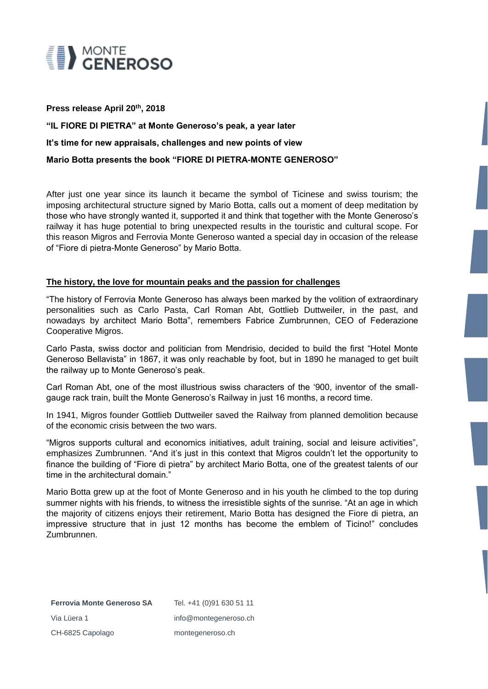

#### **Press release April 20th, 2018**

**"IL FIORE DI PIETRA" at Monte Generoso's peak, a year later It's time for new appraisals, challenges and new points of view Mario Botta presents the book "FIORE DI PIETRA-MONTE GENEROSO"**

After just one year since its launch it became the symbol of Ticinese and swiss tourism; the imposing architectural structure signed by Mario Botta, calls out a moment of deep meditation by those who have strongly wanted it, supported it and think that together with the Monte Generoso's railway it has huge potential to bring unexpected results in the touristic and cultural scope. For this reason Migros and Ferrovia Monte Generoso wanted a special day in occasion of the release of "Fiore di pietra-Monte Generoso" by Mario Botta.

### **The history, the love for mountain peaks and the passion for challenges**

"The history of Ferrovia Monte Generoso has always been marked by the volition of extraordinary personalities such as Carlo Pasta, Carl Roman Abt, Gottlieb Duttweiler, in the past, and nowadays by architect Mario Botta", remembers Fabrice Zumbrunnen, CEO of Federazione Cooperative Migros.

Carlo Pasta, swiss doctor and politician from Mendrisio, decided to build the first "Hotel Monte Generoso Bellavista" in 1867, it was only reachable by foot, but in 1890 he managed to get built the railway up to Monte Generoso's peak.

Carl Roman Abt, one of the most illustrious swiss characters of the '900, inventor of the smallgauge rack train, built the Monte Generoso's Railway in just 16 months, a record time.

In 1941, Migros founder Gottlieb Duttweiler saved the Railway from planned demolition because of the economic crisis between the two wars.

"Migros supports cultural and economics initiatives, adult training, social and leisure activities", emphasizes Zumbrunnen. "And it's just in this context that Migros couldn't let the opportunity to finance the building of "Fiore di pietra" by architect Mario Botta, one of the greatest talents of our time in the architectural domain."

Mario Botta grew up at the foot of Monte Generoso and in his youth he climbed to the top during summer nights with his friends, to witness the irresistible sights of the sunrise. "At an age in which the majority of citizens enjoys their retirement, Mario Botta has designed the Fiore di pietra, an impressive structure that in just 12 months has become the emblem of Ticino!" concludes Zumbrunnen.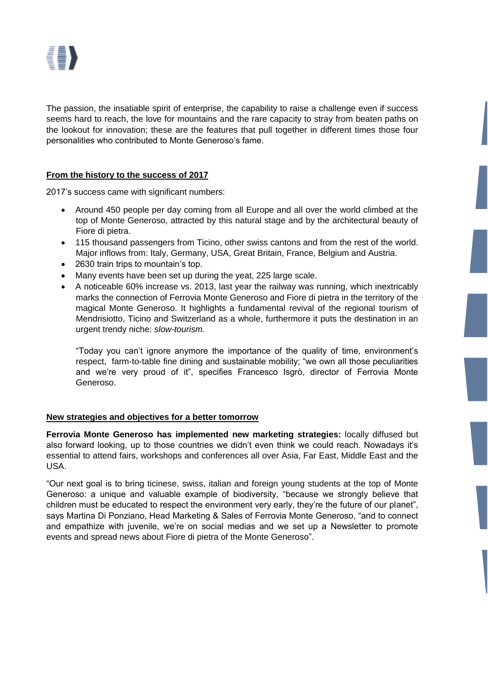The passion, the insatiable spirit of enterprise, the capability to raise a challenge even if success seems hard to reach, the love for mountains and the rare capacity to stray from beaten paths on the lookout for innovation; these are the features that pull together in different times those four personalities who contributed to Monte Generoso's fame.

# **From the history to the success of 2017**

2017's success came with significant numbers:

- Around 450 people per day coming from all Europe and all over the world climbed at the top of Monte Generoso, attracted by this natural stage and by the architectural beauty of Fiore di pietra.
- 115 thousand passengers from Ticino, other swiss cantons and from the rest of the world. Major inflows from: Italy, Germany, USA, Great Britain, France, Belgium and Austria.
- 2630 train trips to mountain's top.
- Many events have been set up during the yeat, 225 large scale.
- A noticeable 60% increase vs. 2013, last year the railway was running, which inextricably marks the connection of Ferrovia Monte Generoso and Fiore di pietra in the territory of the magical Monte Generoso. It highlights a fundamental revival of the regional tourism of Mendrisiotto, Ticino and Switzerland as a whole, furthermore it puts the destination in an urgent trendy niche: *slow-tourism.*

"Today you can't ignore anymore the importance of the quality of time, environment's respect, farm-to-table fine dining and sustainable mobility; "we own all those peculiarities and we're very proud of it", specifies Francesco Isgrò, director of Ferrovia Monte Generoso.

### **New strategies and objectives for a better tomorrow**

**Ferrovia Monte Generoso has implemented new marketing strategies:** locally diffused but also forward looking, up to those countries we didn't even think we could reach. Nowadays it's essential to attend fairs, workshops and conferences all over Asia, Far East, Middle East and the USA.

"Our next goal is to bring ticinese, swiss, italian and foreign young students at the top of Monte Generoso: a unique and valuable example of biodiversity, "because we strongly believe that children must be educated to respect the environment very early, they're the future of our planet", says Martina Di Ponziano, Head Marketing & Sales of Ferrovia Monte Generoso, "and to connect and empathize with juvenile, we're on social medias and we set up a Newsletter to promote events and spread news about Fiore di pietra of the Monte Generoso".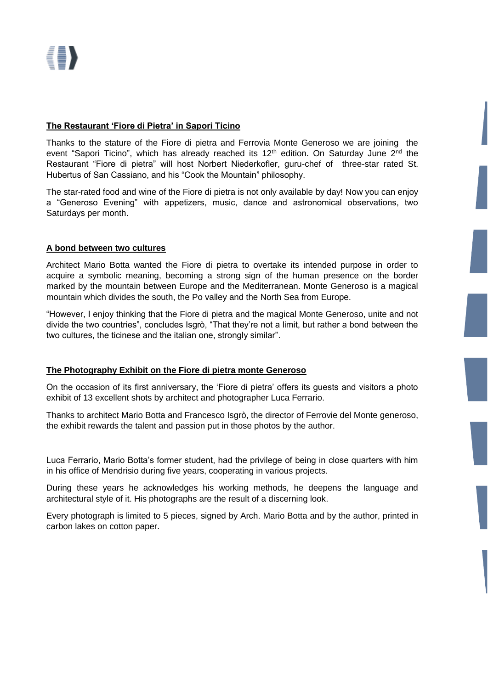# **The Restaurant 'Fiore di Pietra' in Sapori Ticino**

Thanks to the stature of the Fiore di pietra and Ferrovia Monte Generoso we are joining the event "Sapori Ticino", which has already reached its 12<sup>th</sup> edition. On Saturday June 2<sup>nd</sup> the Restaurant "Fiore di pietra" will host Norbert Niederkofler, guru-chef of three-star rated St. Hubertus of San Cassiano, and his "Cook the Mountain" philosophy.

The star-rated food and wine of the Fiore di pietra is not only available by day! Now you can enjoy a "Generoso Evening" with appetizers, music, dance and astronomical observations, two Saturdays per month.

# **A bond between two cultures**

Architect Mario Botta wanted the Fiore di pietra to overtake its intended purpose in order to acquire a symbolic meaning, becoming a strong sign of the human presence on the border marked by the mountain between Europe and the Mediterranean. Monte Generoso is a magical mountain which divides the south, the Po valley and the North Sea from Europe.

"However, I enjoy thinking that the Fiore di pietra and the magical Monte Generoso, unite and not divide the two countries", concludes Isgrò, "That they're not a limit, but rather a bond between the two cultures, the ticinese and the italian one, strongly similar".

### **The Photography Exhibit on the Fiore di pietra monte Generoso**

On the occasion of its first anniversary, the 'Fiore di pietra' offers its guests and visitors a photo exhibit of 13 excellent shots by architect and photographer Luca Ferrario.

Thanks to architect Mario Botta and Francesco Isgrò, the director of Ferrovie del Monte generoso, the exhibit rewards the talent and passion put in those photos by the author.

Luca Ferrario, Mario Botta's former student, had the privilege of being in close quarters with him in his office of Mendrisio during five years, cooperating in various projects.

During these years he acknowledges his working methods, he deepens the language and architectural style of it. His photographs are the result of a discerning look.

Every photograph is limited to 5 pieces, signed by Arch. Mario Botta and by the author, printed in carbon lakes on cotton paper.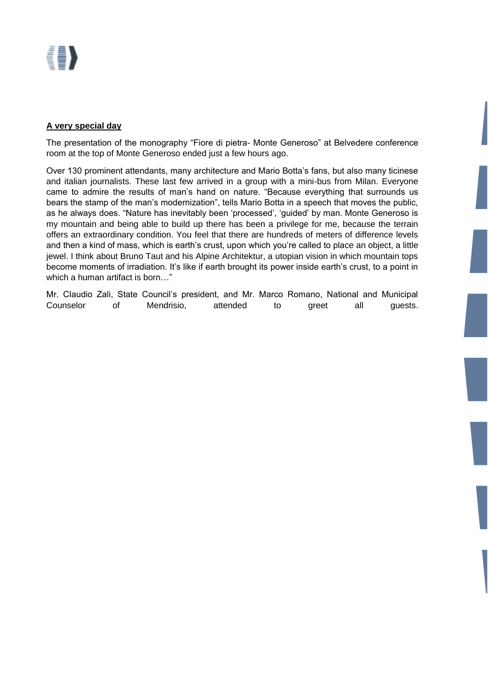# {[}

# **A very special day**

The presentation of the monography "Fiore di pietra- Monte Generoso" at Belvedere conference room at the top of Monte Generoso ended just a few hours ago.

Over 130 prominent attendants, many architecture and Mario Botta's fans, but also many ticinese and italian journalists. These last few arrived in a group with a mini-bus from Milan. Everyone came to admire the results of man's hand on nature. "Because everything that surrounds us bears the stamp of the man's modernization", tells Mario Botta in a speech that moves the public, as he always does. "Nature has inevitably been 'processed', 'guided' by man. Monte Generoso is my mountain and being able to build up there has been a privilege for me, because the terrain offers an extraordinary condition. You feel that there are hundreds of meters of difference levels and then a kind of mass, which is earth's crust, upon which you're called to place an object, a little jewel. I think about Bruno Taut and his Alpine Architektur, a utopian vision in which mountain tops become moments of irradiation. It's like if earth brought its power inside earth's crust, to a point in which a human artifact is born…"

Mr. Claudio Zali, State Council's president, and Mr. Marco Romano, National and Municipal Counselor of Mendrisio, attended to greet all guests.